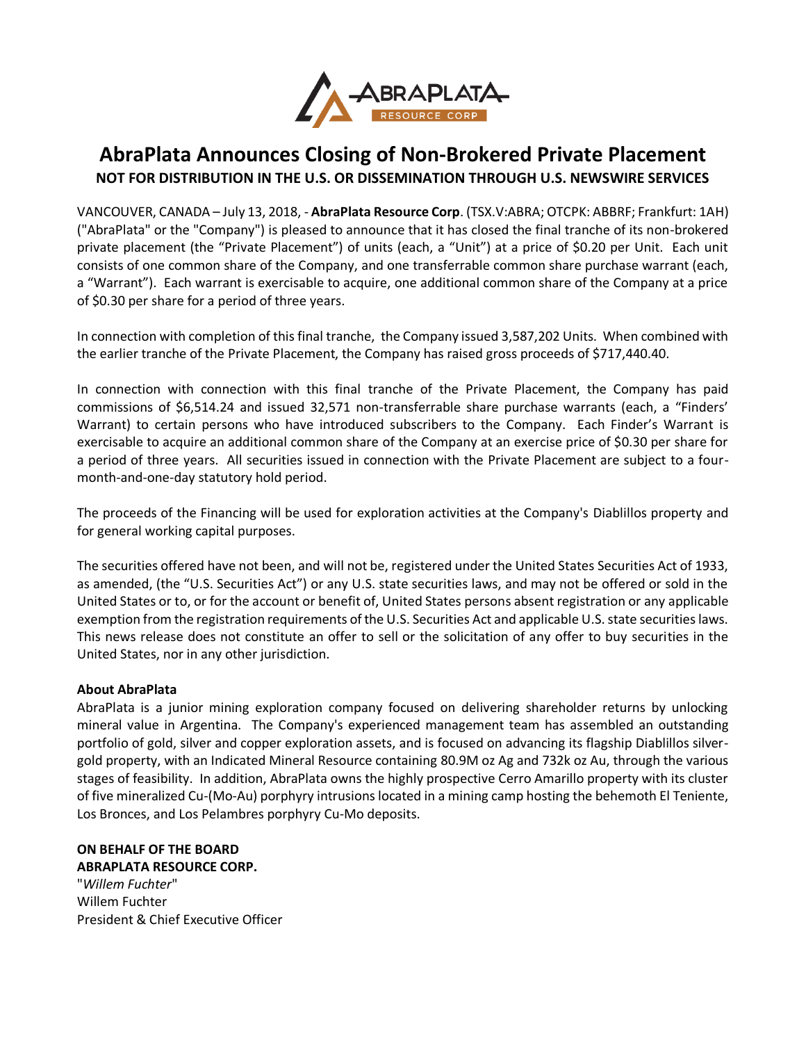

## **AbraPlata Announces Closing of Non-Brokered Private Placement NOT FOR DISTRIBUTION IN THE U.S. OR DISSEMINATION THROUGH U.S. NEWSWIRE SERVICES**

VANCOUVER, CANADA – July 13, 2018, - **AbraPlata Resource Corp**. (TSX.V:ABRA; OTCPK: ABBRF; Frankfurt: 1AH) ("AbraPlata" or the "Company") is pleased to announce that it has closed the final tranche of its non-brokered private placement (the "Private Placement") of units (each, a "Unit") at a price of \$0.20 per Unit. Each unit consists of one common share of the Company, and one transferrable common share purchase warrant (each, a "Warrant"). Each warrant is exercisable to acquire, one additional common share of the Company at a price of \$0.30 per share for a period of three years.

In connection with completion of this final tranche, the Company issued 3,587,202 Units. When combined with the earlier tranche of the Private Placement, the Company has raised gross proceeds of \$717,440.40.

In connection with connection with this final tranche of the Private Placement, the Company has paid commissions of \$6,514.24 and issued 32,571 non-transferrable share purchase warrants (each, a "Finders' Warrant) to certain persons who have introduced subscribers to the Company. Each Finder's Warrant is exercisable to acquire an additional common share of the Company at an exercise price of \$0.30 per share for a period of three years. All securities issued in connection with the Private Placement are subject to a fourmonth-and-one-day statutory hold period.

The proceeds of the Financing will be used for exploration activities at the Company's Diablillos property and for general working capital purposes.

The securities offered have not been, and will not be, registered under the United States Securities Act of 1933, as amended, (the "U.S. Securities Act") or any U.S. state securities laws, and may not be offered or sold in the United States or to, or for the account or benefit of, United States persons absent registration or any applicable exemption from the registration requirements of the U.S. Securities Act and applicable U.S. state securities laws. This news release does not constitute an offer to sell or the solicitation of any offer to buy securities in the United States, nor in any other jurisdiction.

## **About AbraPlata**

AbraPlata is a junior mining exploration company focused on delivering shareholder returns by unlocking mineral value in Argentina. The Company's experienced management team has assembled an outstanding portfolio of gold, silver and copper exploration assets, and is focused on advancing its flagship Diablillos silvergold property, with an Indicated Mineral Resource containing 80.9M oz Ag and 732k oz Au, through the various stages of feasibility. In addition, AbraPlata owns the highly prospective Cerro Amarillo property with its cluster of five mineralized Cu-(Mo-Au) porphyry intrusions located in a mining camp hosting the behemoth El Teniente, Los Bronces, and Los Pelambres porphyry Cu-Mo deposits.

## **ON BEHALF OF THE BOARD**

**ABRAPLATA RESOURCE CORP.** "*Willem Fuchter*" Willem Fuchter President & Chief Executive Officer